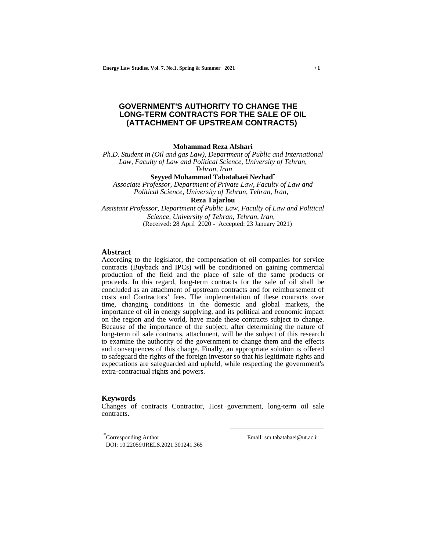# **GOVERNMENT'S AUTHORITY TO CHANGE THE LONG-TERM CONTRACTS FOR THE SALE OF OIL (ATTACHMENT OF UPSTREAM CONTRACTS)**

#### **Mohammad Reza Afshari**

*Ph.D. Student in (Oil and gas Law), Department of Public and International Law, Faculty of Law and Political Science, University of Tehran, Tehran, Iran*

**Seyyed Mohammad Tabatabaei Nezhad**

*Associate Professor, Department of Private Law, Faculty of Law and Political Science, University of Tehran, Tehran, Iran,* 

# **Reza Tajarlou**

*Assistant Professor, Department of Public Law, Faculty of Law and Political Science, University of Tehran, Tehran, Iran,*  (Received: 28 April 2020 - Accepted: 23 January 2021)

## **Abstract**

According to the legislator, the compensation of oil companies for service contracts (Buyback and IPCs) will be conditioned on gaining commercial production of the field and the place of sale of the same products or proceeds. In this regard, long-term contracts for the sale of oil shall be concluded as an attachment of upstream contracts and for reimbursement of costs and Contractors' fees. The implementation of these contracts over time, changing conditions in the domestic and global markets, the importance of oil in energy supplying, and its political and economic impact on the region and the world, have made these contracts subject to change. Because of the importance of the subject, after determining the nature of long-term oil sale contracts, attachment, will be the subject of this research to examine the authority of the government to change them and the effects and consequences of this change. Finally, an appropriate solution is offered to safeguard the rights of the foreign investor so that his legitimate rights and expectations are safeguarded and upheld, while respecting the government's extra-contractual rights and powers.

#### **Keywords**

Changes of contracts Contractor, Host government, long-term oil sale contracts.

l

 Corresponding Author Email: sm.tabatabaei@ut.ac.ir DOI: 10.22059/JRELS.2021.301241.365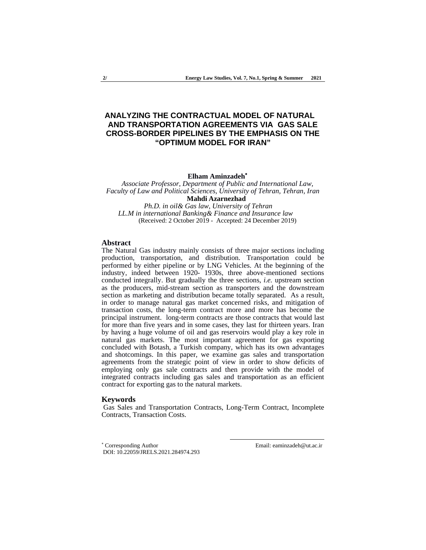# **ANALYZING THE CONTRACTUAL MODEL OF NATURAL AND TRANSPORTATION AGREEMENTS VIA GAS SALE CROSS-BORDER PIPELINES BY THE EMPHASIS ON THE "OPTIMUM MODEL FOR IRAN"**

**Elham Aminzadeh**

*Associate Professor, Department of Public and International Law, Faculty of Law and Political Sciences, University of Tehran, Tehran, Iran*   **Mahdi Azarnezhad** *Ph.D. in oil& Gas law, University of Tehran*

*LL.M in international Banking& Finance and Insurance law*  (Received: 2 October 2019 - Accepted: 24 December 2019)

## **Abstract**

The Natural Gas industry mainly consists of three major sections including production, transportation, and distribution. Transportation could be performed by either pipeline or by LNG Vehicles. At the beginning of the industry, indeed between 1920- 1930s, three above-mentioned sections conducted integrally. But gradually the three sections, *i.e.* upstream section as the producers, mid-stream section as transporters and the downstream section as marketing and distribution became totally separated. As a result, in order to manage natural gas market concerned risks, and mitigation of transaction costs, the long-term contract more and more has become the principal instrument. long-term contracts are those contracts that would last for more than five years and in some cases, they last for thirteen years. Iran by having a huge volume of oil and gas reservoirs would play a key role in natural gas markets. The most important agreement for gas exporting concluded with Botash, a Turkish company, which has its own advantages and shotcomings. In this paper, we examine gas sales and transportation agreements from the strategic point of view in order to show deficits of employing only gas sale contracts and then provide with the model of integrated contracts including gas sales and transportation as an efficient contract for exporting gas to the natural markets.

#### **Keywords**

 Gas Sales and Transportation Contracts, Long-Term Contract, Incomplete Contracts, Transaction Costs.

\* Corresponding Author DOI: 10.22059/JRELS.2021.284974.293 Email: eaminzadeh@ut.ac.ir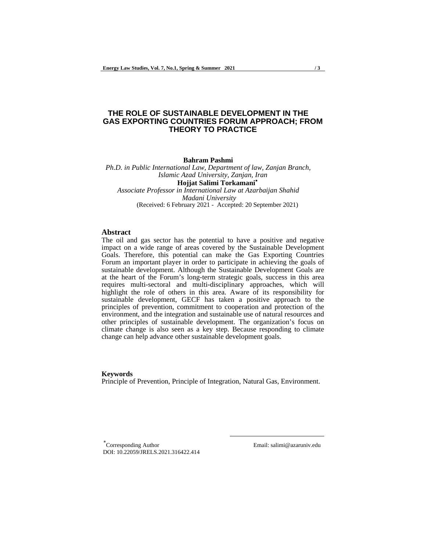# **THE ROLE OF SUSTAINABLE DEVELOPMENT IN THE GAS EXPORTING COUNTRIES FORUM APPROACH; FROM THEORY TO PRACTICE**

**Bahram Pashmi**

*Ph.D. in Public International Law, Department of law, Zanjan Branch, Islamic Azad University, Zanjan, Iran* **Hojjat Salimi Torkamani** *Associate Professor in International Law at Azarbaijan Shahid Madani University* (Received: 6 February 2021 - Accepted: 20 September 2021)

## **Abstract**

The oil and gas sector has the potential to have a positive and negative impact on a wide range of areas covered by the Sustainable Development Goals. Therefore, this potential can make the Gas Exporting Countries Forum an important player in order to participate in achieving the goals of sustainable development. Although the Sustainable Development Goals are at the heart of the Forum's long-term strategic goals, success in this area requires multi-sectoral and multi-disciplinary approaches, which will highlight the role of others in this area. Aware of its responsibility for sustainable development, GECF has taken a positive approach to the principles of prevention, commitment to cooperation and protection of the environment, and the integration and sustainable use of natural resources and other principles of sustainable development. The organization's focus on climate change is also seen as a key step. Because responding to climate change can help advance other sustainable development goals.

#### **Keywords**

Principle of Prevention, Principle of Integration, Natural Gas, Environment.

l

Corresponding Author DOI: 10.22059/JRELS.2021.316422.414 Email: salimi@azaruniv.edu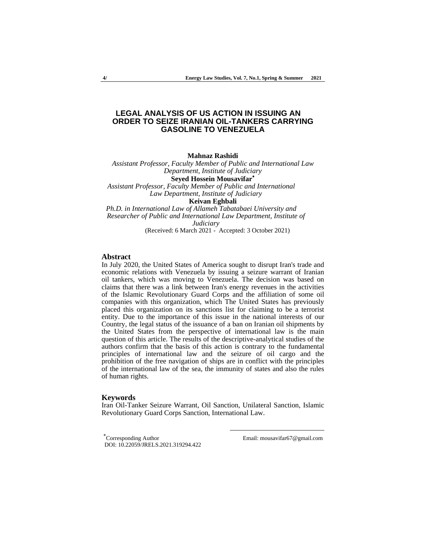# **LEGAL ANALYSIS OF US ACTION IN ISSUING AN ORDER TO SEIZE IRANIAN OIL-TANKERS CARRYING GASOLINE TO VENEZUELA**

**Mahnaz Rashidi**

*Assistant Professor, Faculty Member of Public and International Law Department, Institute of Judiciary* 

**Seyed Hossein Mousavifar**

*Assistant Professor, Faculty Member of Public and International*  *Law Department, Institute of Judiciary*

**Keivan Eghbali**

*Ph.D. in International Law of Allameh Tabatabaei University and Researcher of Public and International Law Department, Institute of*  *Judiciary* (Received: 6 March 2021 - Accepted: 3 October 2021)

### **Abstract**

In July 2020, the United States of America sought to disrupt Iran's trade and economic relations with Venezuela by issuing a seizure warrant of Iranian oil tankers, which was moving to Venezuela. The decision was based on claims that there was a link between Iran's energy revenues in the activities of the Islamic Revolutionary Guard Corps and the affiliation of some oil companies with this organization, which The United States has previously placed this organization on its sanctions list for claiming to be a terrorist entity. Due to the importance of this issue in the national interests of our Country, the legal status of the issuance of a ban on Iranian oil shipments by the United States from the perspective of international law is the main question of this article. The results of the descriptive-analytical studies of the authors confirm that the basis of this action is contrary to the fundamental principles of international law and the seizure of oil cargo and the prohibition of the free navigation of ships are in conflict with the principles of the international law of the sea, the immunity of states and also the rules of human rights.

#### **Keywords**

Iran Oil-Tanker Seizure Warrant, Oil Sanction, Unilateral Sanction, Islamic Revolutionary Guard Corps Sanction, International Law.

Corresponding Author DOI: 10.22059/JRELS.2021.319294.422 Email: mousavifar67@gmail.com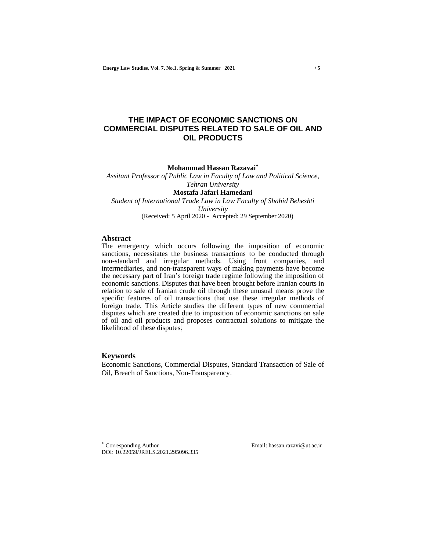# **THE IMPACT OF ECONOMIC SANCTIONS ON COMMERCIAL DISPUTES RELATED TO SALE OF OIL AND OIL PRODUCTS**

**Mohammad Hassan Razavai**

*Assitant Professor of Public Law in Faculty of Law and Political Science, Tehran University* 

**Mostafa Jafari Hamedani** *Student of International Trade Law in Law Faculty of Shahid Beheshti University* (Received: 5 April 2020 - Accepted: 29 September 2020)

## **Abstract**

The emergency which occurs following the imposition of economic sanctions, necessitates the business transactions to be conducted through non-standard and irregular methods. Using front companies, and intermediaries, and non-transparent ways of making payments have become the necessary part of Iran's foreign trade regime following the imposition of economic sanctions. Disputes that have been brought before Iranian courts in relation to sale of Iranian crude oil through these unusual means prove the specific features of oil transactions that use these irregular methods of foreign trade. This Article studies the different types of new commercial disputes which are created due to imposition of economic sanctions on sale of oil and oil products and proposes contractual solutions to mitigate the likelihood of these disputes.

## **Keywords**

Economic Sanctions, Commercial Disputes, Standard Transaction of Sale of Oil, Breach of Sanctions, Non-Transparency.

l

 Corresponding Author Email: hassan.razavi@ut.ac.ir DOI: 10.22059/JRELS.2021.295096.335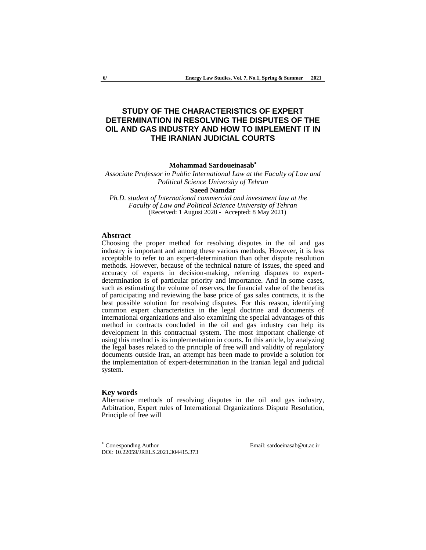# **STUDY OF THE CHARACTERISTICS OF EXPERT DETERMINATION IN RESOLVING THE DISPUTES OF THE OIL AND GAS INDUSTRY AND HOW TO IMPLEMENT IT IN THE IRANIAN JUDICIAL COURTS**

**Mohammad Sardoueinasab**

*Associate Professor in Public International Law at the Faculty of Law and Political Science University of Tehran* **Saeed Namdar**

*Ph.D. student of International commercial and investment law at the Faculty of Law and Political Science University of Tehran*

(Received: 1 August 2020 - Accepted: 8 May 2021)

#### **Abstract**

Choosing the proper method for resolving disputes in the oil and gas industry is important and among these various methods, However, it is less acceptable to refer to an expert-determination than other dispute resolution methods. However, because of the technical nature of issues, the speed and accuracy of experts in decision-making, referring disputes to expertdetermination is of particular priority and importance. And in some cases, such as estimating the volume of reserves, the financial value of the benefits of participating and reviewing the base price of gas sales contracts, it is the best possible solution for resolving disputes. For this reason, identifying common expert characteristics in the legal doctrine and documents of international organizations and also examining the special advantages of this method in contracts concluded in the oil and gas industry can help its development in this contractual system. The most important challenge of using this method is its implementation in courts. In this article, by analyzing the legal bases related to the principle of free will and validity of regulatory documents outside Iran, an attempt has been made to provide a solution for the implementation of expert-determination in the Iranian legal and judicial system.

#### **Key words**

Alternative methods of resolving disputes in the oil and gas industry, Arbitration, Expert rules of International Organizations Dispute Resolution, Principle of free will

l

 Corresponding Author Email: sardoeinasab@ut.ac.ir DOI: 10.22059/JRELS.2021.304415.373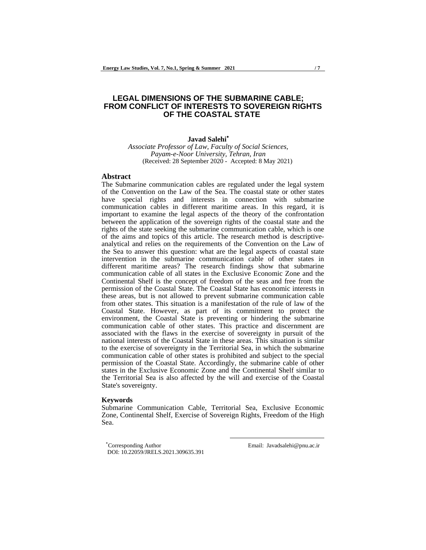# **LEGAL DIMENSIONS OF THE SUBMARINE CABLE; FROM CONFLICT OF INTERESTS TO SOVEREIGN RIGHTS OF THE COASTAL STATE**

## **Javad Salehi**

 *Associate Professor of Law, Faculty of Social Sciences, Payam-e-Noor University, Tehran, Iran* (Received: 28 September 2020 - Accepted: 8 May 2021)

## **Abstract**

The Submarine communication cables are regulated under the legal system of the Convention on the Law of the Sea. The coastal state or other states have special rights and interests in connection with submarine communication cables in different maritime areas. In this regard, it is important to examine the legal aspects of the theory of the confrontation between the application of the sovereign rights of the coastal state and the rights of the state seeking the submarine communication cable, which is one of the aims and topics of this article. The research method is descriptiveanalytical and relies on the requirements of the Convention on the Law of the Sea to answer this question: what are the legal aspects of coastal state intervention in the submarine communication cable of other states in different maritime areas? The research findings show that submarine communication cable of all states in the Exclusive Economic Zone and the Continental Shelf is the concept of freedom of the seas and free from the permission of the Coastal State. The Coastal State has economic interests in these areas, but is not allowed to prevent submarine communication cable from other states. This situation is a manifestation of the rule of law of the Coastal State. However, as part of its commitment to protect the environment, the Coastal State is preventing or hindering the submarine communication cable of other states. This practice and discernment are associated with the flaws in the exercise of sovereignty in pursuit of the national interests of the Coastal State in these areas. This situation is similar to the exercise of sovereignty in the Territorial Sea, in which the submarine communication cable of other states is prohibited and subject to the special permission of the Coastal State. Accordingly, the submarine cable of other states in the Exclusive Economic Zone and the Continental Shelf similar to the Territorial Sea is also affected by the will and exercise of the Coastal State's sovereignty.

#### **Keywords**

Submarine Communication Cable, Territorial Sea, Exclusive Economic Zone, Continental Shelf, Exercise of Sovereign Rights, Freedom of the High Sea.

l

Corresponding Author Email: Javadsalehi@pnu.ac.ir DOI: 10.22059/JRELS.2021.309635.391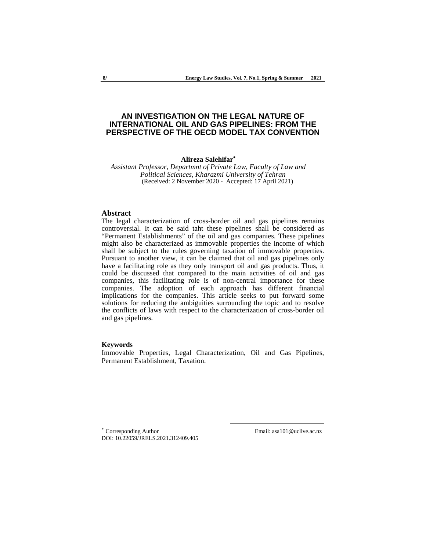# **AN INVESTIGATION ON THE LEGAL NATURE OF INTERNATIONAL OIL AND GAS PIPELINES: FROM THE PERSPECTIVE OF THE OECD MODEL TAX CONVENTION**

#### **Alireza Salehifar**

*Assistant Professor, Departmnt of Private Law, Faculty of Law and Political Sciences, Kharazmi University of Tehran* (Received: 2 November 2020 - Accepted: 17 April 2021)

## **Abstract**

The legal characterization of cross-border oil and gas pipelines remains controversial. It can be said taht these pipelines shall be considered as "Permanent Establishments" of the oil and gas companies. These pipelines might also be characterized as immovable properties the income of which shall be subject to the rules governing taxation of immovable properties. Pursuant to another view, it can be claimed that oil and gas pipelines only have a facilitating role as they only transport oil and gas products. Thus, it could be discussed that compared to the main activities of oil and gas companies, this facilitating role is of non-central importance for these companies. The adoption of each approach has different financial implications for the companies. This article seeks to put forward some solutions for reducing the ambiguities surrounding the topic and to resolve the conflicts of laws with respect to the characterization of cross-border oil and gas pipelines.

### **Keywords**

Immovable Properties, Legal Characterization, Oil and Gas Pipelines, Permanent Establishment, Taxation.

l

 Corresponding Author Email: asa101@uclive.ac.nz DOI: 10.22059/JRELS.2021.312409.405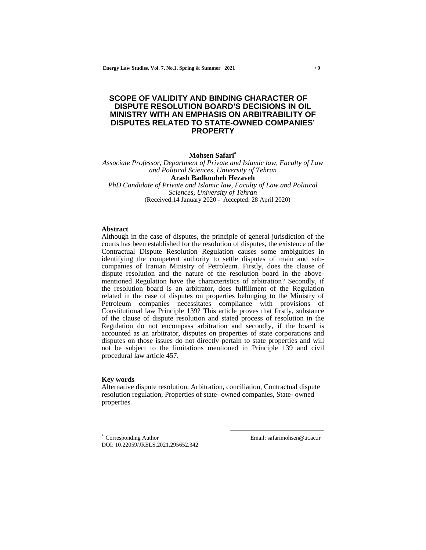# **SCOPE OF VALIDITY AND BINDING CHARACTER OF DISPUTE RESOLUTION BOARD'S DECISIONS IN OIL MINISTRY WITH AN EMPHASIS ON ARBITRABILITY OF DISPUTES RELATED TO STATE-OWNED COMPANIES' PROPERTY**

# **Mohsen Safari**

*Associate Professor, Department of Private and Islamic law, Faculty of Law and Political Sciences, University of Tehran* 

**Arash Badkoubeh Hezaveh**  *PhD Candidate of Private and Islamic law, Faculty of Law and Political Sciences, University of Tehran*  (Received:14 January 2020 - Accepted: 28 April 2020)

### **Abstract**

Although in the case of disputes, the principle of general jurisdiction of the courts has been established for the resolution of disputes, the existence of the Contractual Dispute Resolution Regulation causes some ambiguities in identifying the competent authority to settle disputes of main and subcompanies of Iranian Ministry of Petroleum. Firstly, does the clause of dispute resolution and the nature of the resolution board in the abovementioned Regulation have the characteristics of arbitration? Secondly, if the resolution board is an arbitrator, does fulfillment of the Regulation related in the case of disputes on properties belonging to the Ministry of Petroleum companies necessitates compliance with provisions of Constitutional law Principle 139? This article proves that firstly, substance of the clause of dispute resolution and stated process of resolution in the Regulation do not encompass arbitration and secondly, if the board is accounted as an arbitrator, disputes on properties of state corporations and disputes on those issues do not directly pertain to state properties and will not be subject to the limitations mentioned in Principle 139 and civil procedural law article 457.

#### **Key words**

Alternative dispute resolution, Arbitration, conciliation, Contractual dispute resolution regulation, Properties of state- owned companies, State- owned properties.

l

 Corresponding Author Email: safarimohsen@ut.ac.ir DOI: 10.22059/JRELS.2021.295652.342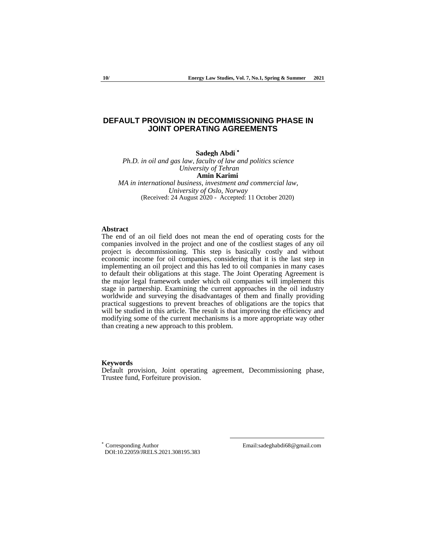## **DEFAULT PROVISION IN DECOMMISSIONING PHASE IN JOINT OPERATING AGREEMENTS**

**Sadegh Abdi**

*Ph.D. in oil and gas law, faculty of law and politics science University of Tehran* **Amin Karimi** 

*MA in international business, investment and commercial law, University of Oslo, Norway* (Received: 24 August 2020 - Accepted: 11 October 2020)

### **Abstract**

The end of an oil field does not mean the end of operating costs for the companies involved in the project and one of the costliest stages of any oil project is decommissioning. This step is basically costly and without economic income for oil companies, considering that it is the last step in implementing an oil project and this has led to oil companies in many cases to default their obligations at this stage. The Joint Operating Agreement is the major legal framework under which oil companies will implement this stage in partnership. Examining the current approaches in the oil industry worldwide and surveying the disadvantages of them and finally providing practical suggestions to prevent breaches of obligations are the topics that will be studied in this article. The result is that improving the efficiency and modifying some of the current mechanisms is a more appropriate way other than creating a new approach to this problem.

## **Keywords**

Default provision, Joint operating agreement, Decommissioning phase, Trustee fund, Forfeiture provision.

l

 Corresponding Author Email:sadeghabdi68@gmail.com DOI:10.22059/JRELS.2021.308195.383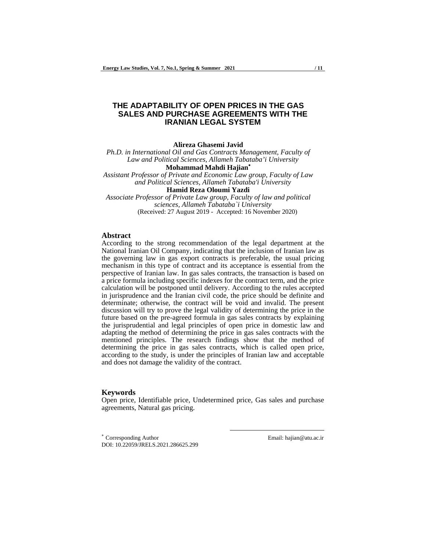# **THE ADAPTABILITY OF OPEN PRICES IN THE GAS SALES AND PURCHASE AGREEMENTS WITH THE IRANIAN LEGAL SYSTEM**

**Alireza Ghasemi Javid**

*Ph.D. in International Oil and Gas Contracts Management, Faculty of Law and Political Sciences, Allameh Tabataba'i University*

**Mohammad Mahdi Hajian**

*Assistant Professor of Private and Economic Law group, Faculty of Law and Political Sciences, Allameh Tabataba'i University*

**Hamid Reza Oloumi Yazdi** *Associate Professor of Private Law group, Faculty of law and political sciences, Allameh Tabataba`i University* (Received: 27 August 2019 - Accepted: 16 November 2020)

#### **Abstract**

According to the strong recommendation of the legal department at the National Iranian Oil Company, indicating that the inclusion of Iranian law as the governing law in gas export contracts is preferable, the usual pricing mechanism in this type of contract and its acceptance is essential from the perspective of Iranian law. In gas sales contracts, the transaction is based on a price formula including specific indexes for the contract term, and the price calculation will be postponed until delivery. According to the rules accepted in jurisprudence and the Iranian civil code, the price should be definite and determinate; otherwise, the contract will be void and invalid. The present discussion will try to prove the legal validity of determining the price in the future based on the pre-agreed formula in gas sales contracts by explaining the jurisprudential and legal principles of open price in domestic law and adapting the method of determining the price in gas sales contracts with the mentioned principles. The research findings show that the method of determining the price in gas sales contracts, which is called open price, according to the study, is under the principles of Iranian law and acceptable and does not damage the validity of the contract.

**Keywords** Open price, Identifiable price, Undetermined price, Gas sales and purchase agreements, Natural gas pricing.

l

 Corresponding Author Email: hajian@atu.ac.ir DOI: 10.22059/JRELS.2021.286625.299